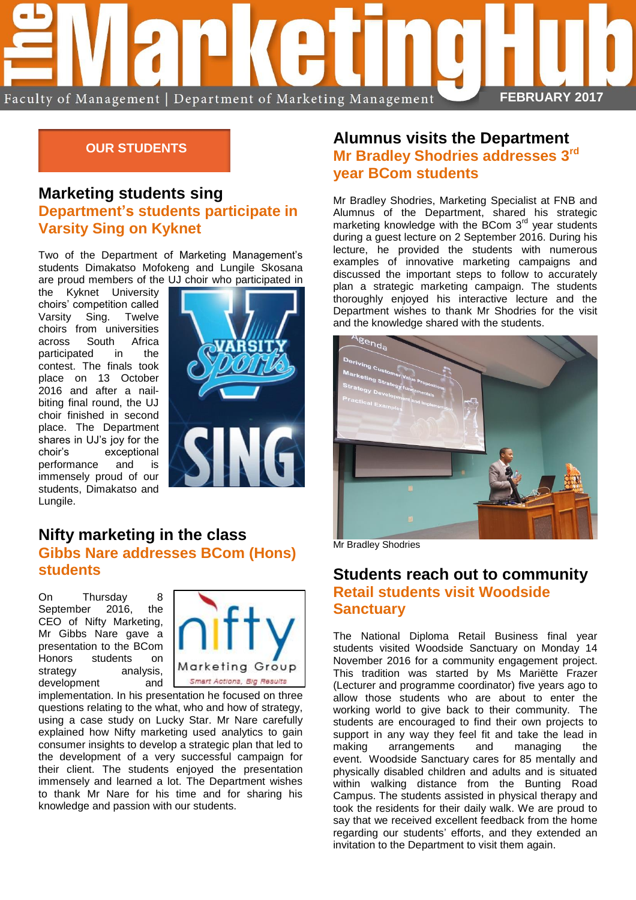

#### **OUR STUDENTS**

#### **Marketing students sing Department's students participate in Varsity Sing on Kyknet**

Two of the Department of Marketing Management's students Dimakatso Mofokeng and Lungile Skosana are proud members of the UJ choir who participated in

the Kyknet University choirs' competition called Varsity Sing. Twelve choirs from universities across South Africa participated in the contest. The finals took place on 13 October 2016 and after a nailbiting final round, the UJ choir finished in second place. The Department shares in UJ's joy for the choir's exceptional performance and is immensely proud of our students, Dimakatso and Lungile.



### **Nifty marketing in the class Gibbs Nare addresses BCom (Hons) students**

On Thursdav 8 September 2016, the CEO of Nifty Marketing, Mr Gibbs Nare gave a presentation to the BCom Honors students on strategy analysis, development and



implementation. In his presentation he focused on three questions relating to the what, who and how of strategy, using a case study on Lucky Star. Mr Nare carefully explained how Nifty marketing used analytics to gain consumer insights to develop a strategic plan that led to the development of a very successful campaign for their client. The students enjoyed the presentation immensely and learned a lot. The Department wishes to thank Mr Nare for his time and for sharing his knowledge and passion with our students.

# **Alumnus visits the Department**

## **Mr Bradley Shodries addresses 3rd year BCom students**

Mr Bradley Shodries, Marketing Specialist at FNB and Alumnus of the Department, shared his strategic marketing knowledge with the BCom 3<sup>rd</sup> year students during a guest lecture on 2 September 2016. During his lecture, he provided the students with numerous examples of innovative marketing campaigns and discussed the important steps to follow to accurately plan a strategic marketing campaign. The students thoroughly enjoyed his interactive lecture and the Department wishes to thank Mr Shodries for the visit and the knowledge shared with the students.



Mr Bradley Shodries

## **Students reach out to community Retail students visit Woodside Sanctuary**

The National Diploma Retail Business final year students visited Woodside Sanctuary on Monday 14 November 2016 for a community engagement project. This tradition was started by Ms Mariëtte Frazer (Lecturer and programme coordinator) five years ago to allow those students who are about to enter the working world to give back to their community. The students are encouraged to find their own projects to support in any way they feel fit and take the lead in making arrangements and managing the event. Woodside Sanctuary cares for 85 mentally and physically disabled children and adults and is situated within walking distance from the Bunting Road Campus. The students assisted in physical therapy and took the residents for their daily walk. We are proud to say that we received excellent feedback from the home regarding our students' efforts, and they extended an invitation to the Department to visit them again.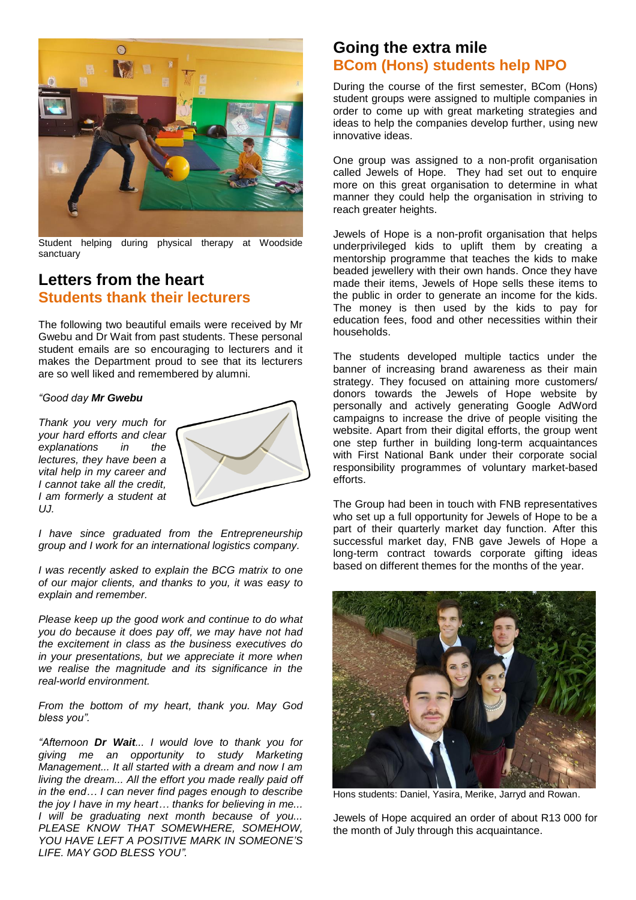

Student helping during physical therapy at Woodside sanctuary

### **Letters from the heart Students thank their lecturers**

The following two beautiful emails were received by Mr Gwebu and Dr Wait from past students. These personal student emails are so encouraging to lecturers and it makes the Department proud to see that its lecturers are so well liked and remembered by alumni.

*"Good day Mr Gwebu*

*Thank you very much for your hard efforts and clear explanations in the lectures, they have been a vital help in my career and I cannot take all the credit, I am formerly a student at UJ.*



*I have since graduated from the Entrepreneurship group and I work for an international logistics company.*

*I was recently asked to explain the BCG matrix to one of our major clients, and thanks to you, it was easy to explain and remember.*

*Please keep up the good work and continue to do what you do because it does pay off, we may have not had the excitement in class as the business executives do in your presentations, but we appreciate it more when we realise the magnitude and its significance in the real-world environment.*

*From the bottom of my heart, thank you. May God bless you".*

*"Afternoon Dr Wait... I would love to thank you for giving me an opportunity to study Marketing Management... It all started with a dream and now I am living the dream... All the effort you made really paid off in the end… I can never find pages enough to describe the joy I have in my heart… thanks for believing in me... I will be graduating next month because of you... PLEASE KNOW THAT SOMEWHERE, SOMEHOW, YOU HAVE LEFT A POSITIVE MARK IN SOMEONE'S LIFE. MAY GOD BLESS YOU".*

### **Going the extra mile BCom (Hons) students help NPO**

During the course of the first semester, BCom (Hons) student groups were assigned to multiple companies in order to come up with great marketing strategies and ideas to help the companies develop further, using new innovative ideas.

One group was assigned to a non-profit organisation called Jewels of Hope. They had set out to enquire more on this great organisation to determine in what manner they could help the organisation in striving to reach greater heights.

Jewels of Hope is a non-profit organisation that helps underprivileged kids to uplift them by creating a mentorship programme that teaches the kids to make beaded jewellery with their own hands. Once they have made their items, Jewels of Hope sells these items to the public in order to generate an income for the kids. The money is then used by the kids to pay for education fees, food and other necessities within their households.

The students developed multiple tactics under the banner of increasing brand awareness as their main strategy. They focused on attaining more customers/ donors towards the Jewels of Hope website by personally and actively generating Google AdWord campaigns to increase the drive of people visiting the website. Apart from their digital efforts, the group went one step further in building long-term acquaintances with First National Bank under their corporate social responsibility programmes of voluntary market-based efforts.

The Group had been in touch with FNB representatives who set up a full opportunity for Jewels of Hope to be a part of their quarterly market day function. After this successful market day, FNB gave Jewels of Hope a long-term contract towards corporate gifting ideas based on different themes for the months of the year.



Hons students: Daniel, Yasira, Merike, Jarryd and Rowan.

Jewels of Hope acquired an order of about R13 000 for the month of July through this acquaintance.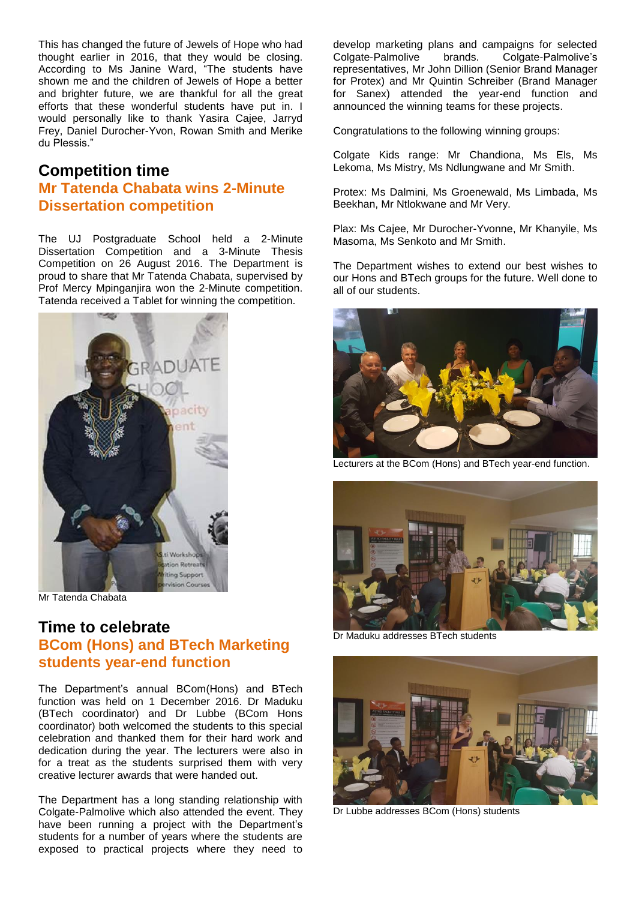This has changed the future of Jewels of Hope who had thought earlier in 2016, that they would be closing. According to Ms Janine Ward, "The students have shown me and the children of Jewels of Hope a better and brighter future, we are thankful for all the great efforts that these wonderful students have put in. I would personally like to thank Yasira Cajee, Jarryd Frey, Daniel Durocher-Yvon, Rowan Smith and Merike du Plessis."

#### **Competition time Mr Tatenda Chabata wins 2-Minute Dissertation competition**

The UJ Postgraduate School held a 2-Minute Dissertation Competition and a 3-Minute Thesis Competition on 26 August 2016. The Department is proud to share that Mr Tatenda Chabata, supervised by Prof Mercy Mpinganjira won the 2-Minute competition. Tatenda received a Tablet for winning the competition.



Mr Tatenda Chabata

## **Time to celebrate BCom (Hons) and BTech Marketing students year-end function**

The Department's annual BCom(Hons) and BTech function was held on 1 December 2016. Dr Maduku (BTech coordinator) and Dr Lubbe (BCom Hons coordinator) both welcomed the students to this special celebration and thanked them for their hard work and dedication during the year. The lecturers were also in for a treat as the students surprised them with very creative lecturer awards that were handed out.

The Department has a long standing relationship with Colgate-Palmolive which also attended the event. They have been running a project with the Department's students for a number of years where the students are exposed to practical projects where they need to

develop marketing plans and campaigns for selected<br>Colgate-Palmolive brands. Colgate-Palmolive's Colgate-Palmolive's representatives, Mr John Dillion (Senior Brand Manager for Protex) and Mr Quintin Schreiber (Brand Manager for Sanex) attended the year-end function and announced the winning teams for these projects.

Congratulations to the following winning groups:

Colgate Kids range: Mr Chandiona, Ms Els, Ms Lekoma, Ms Mistry, Ms Ndlungwane and Mr Smith.

Protex: Ms Dalmini, Ms Groenewald, Ms Limbada, Ms Beekhan, Mr Ntlokwane and Mr Very.

Plax: Ms Cajee, Mr Durocher-Yvonne, Mr Khanyile, Ms Masoma, Ms Senkoto and Mr Smith.

The Department wishes to extend our best wishes to our Hons and BTech groups for the future. Well done to all of our students.



Lecturers at the BCom (Hons) and BTech year-end function.



Dr Maduku addresses BTech students



Dr Lubbe addresses BCom (Hons) students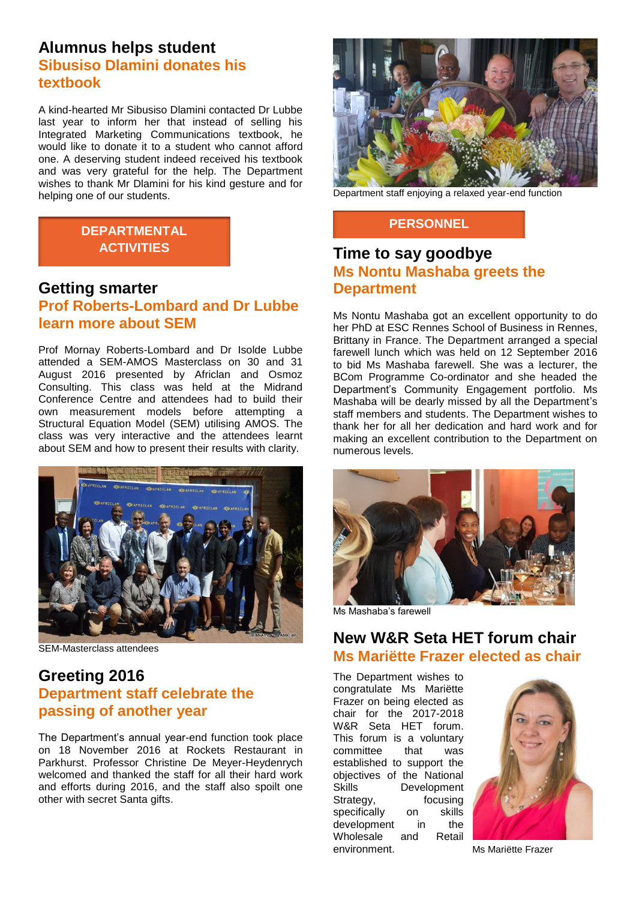#### **Alumnus helps student Sibusiso Dlamini donates his textbook**

A kind-hearted Mr Sibusiso Dlamini contacted Dr Lubbe last year to inform her that instead of selling his Integrated Marketing Communications textbook, he would like to donate it to a student who cannot afford one. A deserving student indeed received his textbook and was very grateful for the help. The Department wishes to thank Mr Dlamini for his kind gesture and for helping one of our students.

#### **DEPARTMENTAL ACTIVITIES**

### **Getting smarter Prof Roberts-Lombard and Dr Lubbe learn more about SEM**

Prof Mornay Roberts-Lombard and Dr Isolde Lubbe attended a SEM-AMOS Masterclass on 30 and 31 August 2016 presented by Africlan and Osmoz Consulting. This class was held at the Midrand Conference Centre and attendees had to build their own measurement models before attempting a Structural Equation Model (SEM) utilising AMOS. The class was very interactive and the attendees learnt about SEM and how to present their results with clarity.



SEM-Masterclass attendees

### **Greeting 2016 Department staff celebrate the passing of another year**

The Department's annual year-end function took place on 18 November 2016 at Rockets Restaurant in Parkhurst. Professor Christine De Meyer-Heydenrych welcomed and thanked the staff for all their hard work and efforts during 2016, and the staff also spoilt one other with secret Santa gifts.



Department staff enjoying a relaxed year-end function

#### **PERSONNEL**

## **Time to say goodbye Ms Nontu Mashaba greets the Department**

Ms Nontu Mashaba got an excellent opportunity to do her PhD at ESC Rennes School of Business in Rennes, Brittany in France. The Department arranged a special farewell lunch which was held on 12 September 2016 to bid Ms Mashaba farewell. She was a lecturer, the BCom Programme Co-ordinator and she headed the Department's Community Engagement portfolio. Ms Mashaba will be dearly missed by all the Department's staff members and students. The Department wishes to thank her for all her dedication and hard work and for making an excellent contribution to the Department on numerous levels.



Ms Mashaba's farewell

### **New W&R Seta HET forum chair Ms Mariëtte Frazer elected as chair**

The Department wishes to congratulate Ms Mariëtte Frazer on being elected as chair for the 2017-2018 W&R Seta HET forum. This forum is a voluntary committee that was established to support the objectives of the National Skills Development Strategy, focusing specifically on skills development in the Wholesale and Retail environment. Ms Mariëtte Frazer

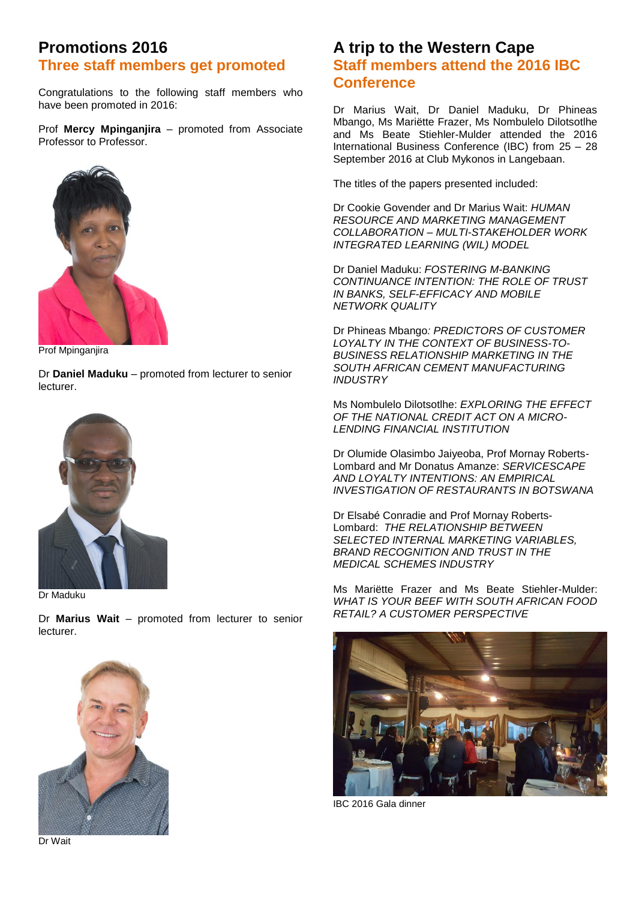## **Promotions 2016 Three staff members get promoted**

Congratulations to the following staff members who have been promoted in 2016:

Prof **Mercy Mpinganjira** – promoted from Associate Professor to Professor.



Prof Mpinganjira

Dr **Daniel Maduku** – promoted from lecturer to senior lecturer.



Dr Maduku

Dr **Marius Wait** – promoted from lecturer to senior lecturer.



## **A trip to the Western Cape Staff members attend the 2016 IBC Conference**

Dr Marius Wait, Dr Daniel Maduku, Dr Phineas Mbango, Ms Mariëtte Frazer, Ms Nombulelo Dilotsotlhe and Ms Beate Stiehler-Mulder attended the 2016 International Business Conference (IBC) from 25 – 28 September 2016 at Club Mykonos in Langebaan.

The titles of the papers presented included:

Dr Cookie Govender and Dr Marius Wait: *HUMAN RESOURCE AND MARKETING MANAGEMENT COLLABORATION – MULTI-STAKEHOLDER WORK INTEGRATED LEARNING (WIL) MODEL*

Dr Daniel Maduku: *FOSTERING M-BANKING CONTINUANCE INTENTION: THE ROLE OF TRUST IN BANKS, SELF-EFFICACY AND MOBILE NETWORK QUALITY*

Dr Phineas Mbango*: PREDICTORS OF CUSTOMER LOYALTY IN THE CONTEXT OF BUSINESS-TO-BUSINESS RELATIONSHIP MARKETING IN THE SOUTH AFRICAN CEMENT MANUFACTURING INDUSTRY*

Ms Nombulelo Dilotsotlhe: *EXPLORING THE EFFECT OF THE NATIONAL CREDIT ACT ON A MICRO-LENDING FINANCIAL INSTITUTION*

Dr Olumide Olasimbo Jaiyeoba, Prof Mornay Roberts-Lombard and Mr Donatus Amanze: *SERVICESCAPE AND LOYALTY INTENTIONS: AN EMPIRICAL INVESTIGATION OF RESTAURANTS IN BOTSWANA*

Dr Elsabé Conradie and Prof Mornay Roberts-Lombard: *THE RELATIONSHIP BETWEEN SELECTED INTERNAL MARKETING VARIABLES, BRAND RECOGNITION AND TRUST IN THE MEDICAL SCHEMES INDUSTRY*

Ms Mariëtte Frazer and Ms Beate Stiehler-Mulder: *WHAT IS YOUR BEEF WITH SOUTH AFRICAN FOOD RETAIL? A CUSTOMER PERSPECTIVE*



IBC 2016 Gala dinner

Dr Wait